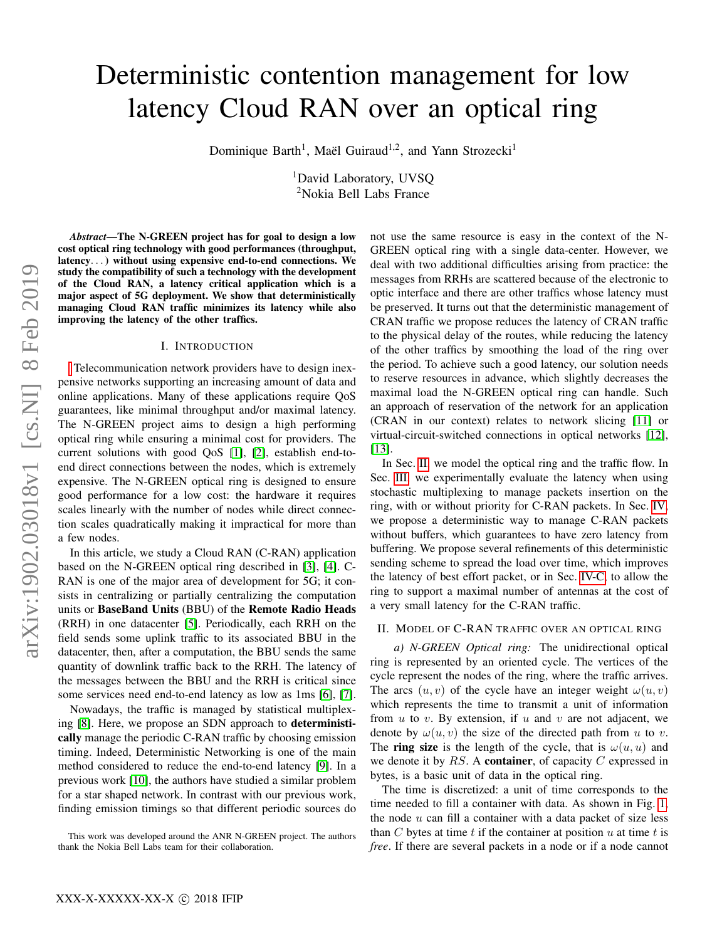# Deterministic contention management for low latency Cloud RAN over an optical ring

Dominique Barth<sup>1</sup>, Maël Guiraud<sup>1,2</sup>, and Yann Strozecki<sup>1</sup>

<sup>1</sup>David Laboratory, UVSQ <sup>2</sup>Nokia Bell Labs France

*Abstract*—The N-GREEN project has for goal to design a low cost optical ring technology with good performances (throughput, latency. . . ) without using expensive end-to-end connections. We study the compatibility of such a technology with the development of the Cloud RAN, a latency critical application which is a major aspect of 5G deployment. We show that deterministically managing Cloud RAN traffic minimizes its latency while also improving the latency of the other traffics.

## I. INTRODUCTION

Telecommunication network providers have to design inexpensive networks supporting an increasing amount of data and online applications. Many of these applications require QoS guarantees, like minimal throughput and/or maximal latency. The N-GREEN project aims to design a high performing optical ring while ensuring a minimal cost for providers. The current solutions with good QoS [\[1\]](#page-5-0), [\[2\]](#page-5-1), establish end-toend direct connections between the nodes, which is extremely expensive. The N-GREEN optical ring is designed to ensure good performance for a low cost: the hardware it requires scales linearly with the number of nodes while direct connection scales quadratically making it impractical for more than a few nodes.

In this article, we study a Cloud RAN (C-RAN) application based on the N-GREEN optical ring described in [\[3\]](#page-5-2), [\[4\]](#page-5-3). C-RAN is one of the major area of development for 5G; it consists in centralizing or partially centralizing the computation units or BaseBand Units (BBU) of the Remote Radio Heads (RRH) in one datacenter [\[5\]](#page-5-4). Periodically, each RRH on the field sends some uplink traffic to its associated BBU in the datacenter, then, after a computation, the BBU sends the same quantity of downlink traffic back to the RRH. The latency of the messages between the BBU and the RRH is critical since some services need end-to-end latency as low as 1ms [\[6\]](#page-5-5), [\[7\]](#page-5-6).

Nowadays, the traffic is managed by statistical multiplexing [\[8\]](#page-5-7). Here, we propose an SDN approach to deterministically manage the periodic C-RAN traffic by choosing emission timing. Indeed, Deterministic Networking is one of the main method considered to reduce the end-to-end latency [\[9\]](#page-5-8). In a previous work [\[10\]](#page-5-9), the authors have studied a similar problem for a star shaped network. In contrast with our previous work, finding emission timings so that different periodic sources do not use the same resource is easy in the context of the N-GREEN optical ring with a single data-center. However, we deal with two additional difficulties arising from practice: the messages from RRHs are scattered because of the electronic to optic interface and there are other traffics whose latency must be preserved. It turns out that the deterministic management of CRAN traffic we propose reduces the latency of CRAN traffic to the physical delay of the routes, while reducing the latency of the other traffics by smoothing the load of the ring over the period. To achieve such a good latency, our solution needs to reserve resources in advance, which slightly decreases the maximal load the N-GREEN optical ring can handle. Such an approach of reservation of the network for an application (CRAN in our context) relates to network slicing [\[11\]](#page-5-10) or virtual-circuit-switched connections in optical networks [\[12\]](#page-5-11), [\[13\]](#page-5-12).

In Sec. [II,](#page-0-0) we model the optical ring and the traffic flow. In Sec. [III,](#page-1-0) we experimentally evaluate the latency when using stochastic multiplexing to manage packets insertion on the ring, with or without priority for C-RAN packets. In Sec. [IV,](#page-2-0) we propose a deterministic way to manage C-RAN packets without buffers, which guarantees to have zero latency from buffering. We propose several refinements of this deterministic sending scheme to spread the load over time, which improves the latency of best effort packet, or in Sec. [IV-C,](#page-4-0) to allow the ring to support a maximal number of antennas at the cost of a very small latency for the C-RAN traffic.

#### <span id="page-0-0"></span>II. MODEL OF C-RAN TRAFFIC OVER AN OPTICAL RING

*a) N-GREEN Optical ring:* The unidirectional optical ring is represented by an oriented cycle. The vertices of the cycle represent the nodes of the ring, where the traffic arrives. The arcs  $(u, v)$  of the cycle have an integer weight  $\omega(u, v)$ which represents the time to transmit a unit of information from  $u$  to  $v$ . By extension, if  $u$  and  $v$  are not adjacent, we denote by  $\omega(u, v)$  the size of the directed path from u to v. The **ring size** is the length of the cycle, that is  $\omega(u, u)$  and we denote it by  $RS$ . A **container**, of capacity  $C$  expressed in bytes, is a basic unit of data in the optical ring.

The time is discretized: a unit of time corresponds to the time needed to fill a container with data. As shown in Fig. [1,](#page-1-1) the node  $u$  can fill a container with a data packet of size less than C bytes at time t if the container at position  $u$  at time t is *free*. If there are several packets in a node or if a node cannot

This work was developed around the ANR N-GREEN project. The authors thank the Nokia Bell Labs team for their collaboration.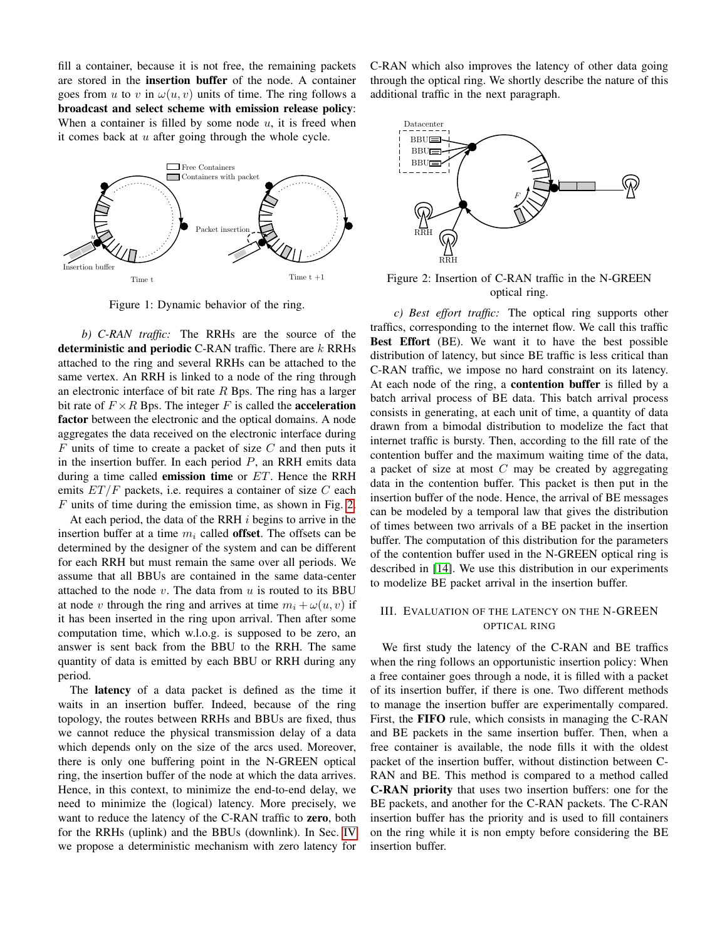fill a container, because it is not free, the remaining packets are stored in the insertion buffer of the node. A container goes from u to v in  $\omega(u, v)$  units of time. The ring follows a broadcast and select scheme with emission release policy: When a container is filled by some node  $u$ , it is freed when it comes back at  $u$  after going through the whole cycle.

<span id="page-1-1"></span>

Figure 1: Dynamic behavior of the ring.

*b) C-RAN traffic:* The RRHs are the source of the deterministic and periodic C-RAN traffic. There are  $k$  RRHs attached to the ring and several RRHs can be attached to the same vertex. An RRH is linked to a node of the ring through an electronic interface of bit rate  $R$  Bps. The ring has a larger bit rate of  $F \times R$  Bps. The integer F is called the **acceleration** factor between the electronic and the optical domains. A node aggregates the data received on the electronic interface during  $F$  units of time to create a packet of size  $C$  and then puts it in the insertion buffer. In each period  $P$ , an RRH emits data during a time called **emission time** or  $ET$ . Hence the RRH emits  $ET/F$  packets, i.e. requires a container of size C each F units of time during the emission time, as shown in Fig. [2.](#page-1-2)

At each period, the data of the RRH  $i$  begins to arrive in the insertion buffer at a time  $m_i$  called **offset**. The offsets can be determined by the designer of the system and can be different for each RRH but must remain the same over all periods. We assume that all BBUs are contained in the same data-center attached to the node  $v$ . The data from  $u$  is routed to its BBU at node v through the ring and arrives at time  $m_i + \omega(u, v)$  if it has been inserted in the ring upon arrival. Then after some computation time, which w.l.o.g. is supposed to be zero, an answer is sent back from the BBU to the RRH. The same quantity of data is emitted by each BBU or RRH during any period.

The latency of a data packet is defined as the time it waits in an insertion buffer. Indeed, because of the ring topology, the routes between RRHs and BBUs are fixed, thus we cannot reduce the physical transmission delay of a data which depends only on the size of the arcs used. Moreover, there is only one buffering point in the N-GREEN optical ring, the insertion buffer of the node at which the data arrives. Hence, in this context, to minimize the end-to-end delay, we need to minimize the (logical) latency. More precisely, we want to reduce the latency of the C-RAN traffic to **zero**, both for the RRHs (uplink) and the BBUs (downlink). In Sec. [IV](#page-2-0) we propose a deterministic mechanism with zero latency for C-RAN which also improves the latency of other data going through the optical ring. We shortly describe the nature of this additional traffic in the next paragraph.

<span id="page-1-2"></span>

Figure 2: Insertion of C-RAN traffic in the N-GREEN optical ring.

*c) Best effort traffic:* The optical ring supports other traffics, corresponding to the internet flow. We call this traffic Best Effort (BE). We want it to have the best possible distribution of latency, but since BE traffic is less critical than C-RAN traffic, we impose no hard constraint on its latency. At each node of the ring, a **contention buffer** is filled by a batch arrival process of BE data. This batch arrival process consists in generating, at each unit of time, a quantity of data drawn from a bimodal distribution to modelize the fact that internet traffic is bursty. Then, according to the fill rate of the contention buffer and the maximum waiting time of the data, a packet of size at most  $C$  may be created by aggregating data in the contention buffer. This packet is then put in the insertion buffer of the node. Hence, the arrival of BE messages can be modeled by a temporal law that gives the distribution of times between two arrivals of a BE packet in the insertion buffer. The computation of this distribution for the parameters of the contention buffer used in the N-GREEN optical ring is described in [\[14\]](#page-5-13). We use this distribution in our experiments to modelize BE packet arrival in the insertion buffer.

# <span id="page-1-0"></span>III. EVALUATION OF THE LATENCY ON THE N-GREEN OPTICAL RING

We first study the latency of the C-RAN and BE traffics when the ring follows an opportunistic insertion policy: When a free container goes through a node, it is filled with a packet of its insertion buffer, if there is one. Two different methods to manage the insertion buffer are experimentally compared. First, the FIFO rule, which consists in managing the C-RAN and BE packets in the same insertion buffer. Then, when a free container is available, the node fills it with the oldest packet of the insertion buffer, without distinction between C-RAN and BE. This method is compared to a method called C-RAN priority that uses two insertion buffers: one for the BE packets, and another for the C-RAN packets. The C-RAN insertion buffer has the priority and is used to fill containers on the ring while it is non empty before considering the BE insertion buffer.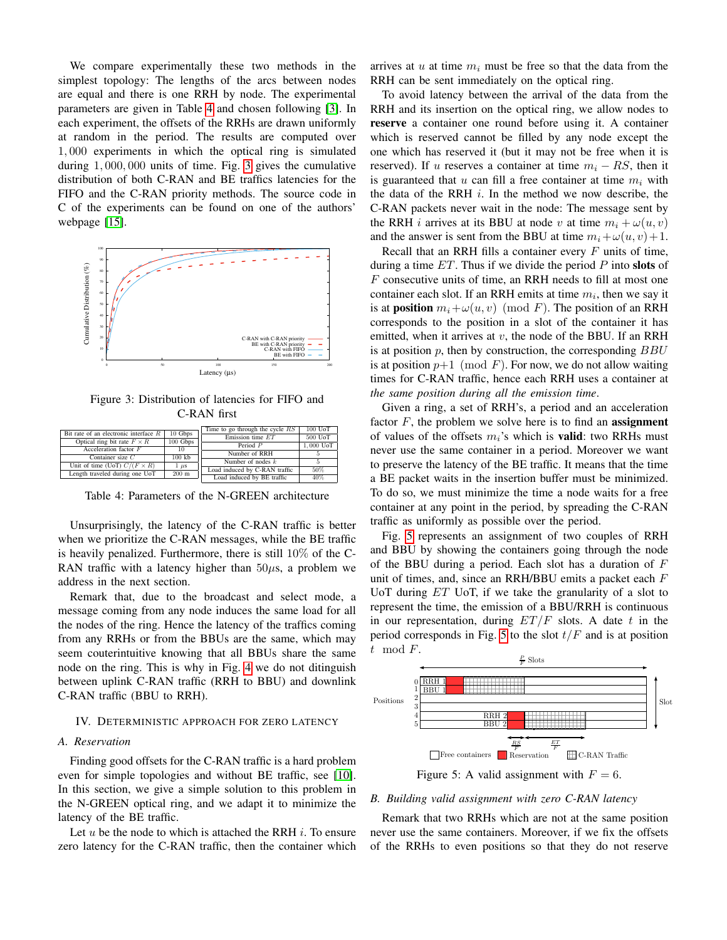We compare experimentally these two methods in the simplest topology: The lengths of the arcs between nodes are equal and there is one RRH by node. The experimental parameters are given in Table [4](#page-2-1) and chosen following [\[3\]](#page-5-2). In each experiment, the offsets of the RRHs are drawn uniformly at random in the period. The results are computed over 1, 000 experiments in which the optical ring is simulated during 1, 000, 000 units of time. Fig. [3](#page-2-2) gives the cumulative distribution of both C-RAN and BE traffics latencies for the FIFO and the C-RAN priority methods. The source code in C of the experiments can be found on one of the authors' webpage [\[15\]](#page-5-14).

<span id="page-2-2"></span>

Figure 3: Distribution of latencies for FIFO and C-RAN first

<span id="page-2-1"></span>

| Bit rate of an electronic interface $R$ | 10 Gbps         | Time to go through the cycle RS | $100$ UoT |
|-----------------------------------------|-----------------|---------------------------------|-----------|
|                                         | $100$ Gbps      | Emission time $ET$              | $500$ UoT |
| Optical ring bit rate $F \times R$      |                 | Period P                        | 1.000 UoT |
| Acceleration factor $F$                 | 10              | Number of RRH                   |           |
| Container size $C$                      | 100 kb          | Number of nodes $k$             |           |
| Unit of time (UoT) $C/(F \times R)$     | $1 \mu s$       | Load induced by C-RAN traffic   | 50%       |
| Length traveled during one UoT          | $200 \text{ m}$ |                                 |           |
|                                         |                 | Load induced by BE traffic      | 40%       |

Table 4: Parameters of the N-GREEN architecture

Unsurprisingly, the latency of the C-RAN traffic is better when we prioritize the C-RAN messages, while the BE traffic is heavily penalized. Furthermore, there is still 10% of the C-RAN traffic with a latency higher than  $50\mu s$ , a problem we address in the next section.

Remark that, due to the broadcast and select mode, a message coming from any node induces the same load for all the nodes of the ring. Hence the latency of the traffics coming from any RRHs or from the BBUs are the same, which may seem couterintuitive knowing that all BBUs share the same node on the ring. This is why in Fig. [4](#page-2-1) we do not ditinguish between uplink C-RAN traffic (RRH to BBU) and downlink C-RAN traffic (BBU to RRH).

#### <span id="page-2-0"></span>IV. DETERMINISTIC APPROACH FOR ZERO LATENCY

#### *A. Reservation*

Finding good offsets for the C-RAN traffic is a hard problem even for simple topologies and without BE traffic, see [\[10\]](#page-5-9). In this section, we give a simple solution to this problem in the N-GREEN optical ring, and we adapt it to minimize the latency of the BE traffic.

Let  $u$  be the node to which is attached the RRH  $i$ . To ensure zero latency for the C-RAN traffic, then the container which arrives at u at time  $m_i$  must be free so that the data from the RRH can be sent immediately on the optical ring.

To avoid latency between the arrival of the data from the RRH and its insertion on the optical ring, we allow nodes to reserve a container one round before using it. A container which is reserved cannot be filled by any node except the one which has reserved it (but it may not be free when it is reserved). If u reserves a container at time  $m_i - RS$ , then it is guaranteed that u can fill a free container at time  $m_i$  with the data of the RRH i. In the method we now describe, the C-RAN packets never wait in the node: The message sent by the RRH *i* arrives at its BBU at node v at time  $m_i + \omega(u, v)$ and the answer is sent from the BBU at time  $m_i + \omega(u, v) + 1$ .

Recall that an RRH fills a container every  $F$  units of time, during a time  $ET$ . Thus if we divide the period  $P$  into slots of F consecutive units of time, an RRH needs to fill at most one container each slot. If an RRH emits at time  $m_i$ , then we say it is at **position**  $m_i + \omega(u, v) \pmod{F}$ . The position of an RRH corresponds to the position in a slot of the container it has emitted, when it arrives at  $v$ , the node of the BBU. If an RRH is at position  $p$ , then by construction, the corresponding  $BBU$ is at position  $p+1 \pmod{F}$ . For now, we do not allow waiting times for C-RAN traffic, hence each RRH uses a container at *the same position during all the emission time*.

Given a ring, a set of RRH's, a period and an acceleration factor  $F$ , the problem we solve here is to find an **assignment** of values of the offsets  $m_i$ 's which is **valid**: two RRHs must never use the same container in a period. Moreover we want to preserve the latency of the BE traffic. It means that the time a BE packet waits in the insertion buffer must be minimized. To do so, we must minimize the time a node waits for a free container at any point in the period, by spreading the C-RAN traffic as uniformly as possible over the period.

Fig. [5](#page-2-3) represents an assignment of two couples of RRH and BBU by showing the containers going through the node of the BBU during a period. Each slot has a duration of  $F$ unit of times, and, since an RRH/BBU emits a packet each  $F$ UoT during  $ET$  UoT, if we take the granularity of a slot to represent the time, the emission of a BBU/RRH is continuous in our representation, during  $ET/F$  slots. A date t in the period corresponds in Fig. [5](#page-2-3) to the slot  $t/F$  and is at position  $t \mod F$ .

<span id="page-2-3"></span>

Figure 5: A valid assignment with  $F = 6$ .

## <span id="page-2-4"></span>*B. Building valid assignment with zero C-RAN latency*

Remark that two RRHs which are not at the same position never use the same containers. Moreover, if we fix the offsets of the RRHs to even positions so that they do not reserve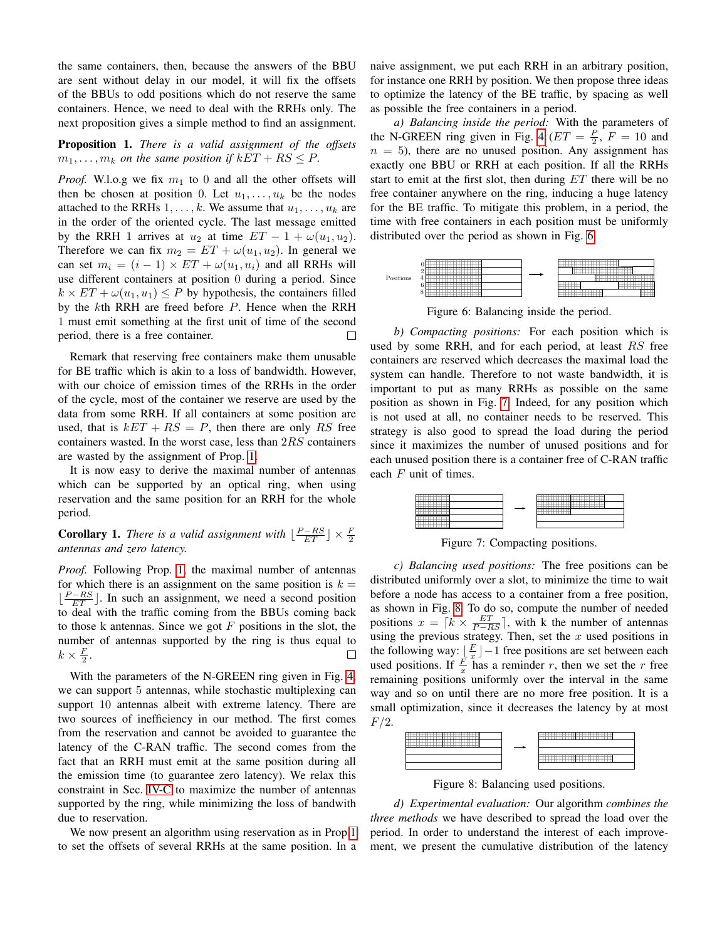the same containers, then, because the answers of the BBU are sent without delay in our model, it will fix the offsets of the BBUs to odd positions which do not reserve the same containers. Hence, we need to deal with the RRHs only. The next proposition gives a simple method to find an assignment.

# <span id="page-3-0"></span>Proposition 1. *There is a valid assignment of the offsets*  $m_1, \ldots, m_k$  *on the same position if*  $kET + RS \leq P$ .

*Proof.* W.l.o.g we fix  $m_1$  to 0 and all the other offsets will then be chosen at position 0. Let  $u_1, \ldots, u_k$  be the nodes attached to the RRHs  $1, \ldots, k$ . We assume that  $u_1, \ldots, u_k$  are in the order of the oriented cycle. The last message emitted by the RRH 1 arrives at  $u_2$  at time  $ET - 1 + \omega(u_1, u_2)$ . Therefore we can fix  $m_2 = ET + \omega(u_1, u_2)$ . In general we can set  $m_i = (i - 1) \times ET + \omega(u_1, u_i)$  and all RRHs will use different containers at position 0 during a period. Since  $k \times ET + \omega(u_1, u_1) \leq P$  by hypothesis, the containers filled by the kth RRH are freed before P. Hence when the RRH 1 must emit something at the first unit of time of the second period, there is a free container.  $\Box$ 

Remark that reserving free containers make them unusable for BE traffic which is akin to a loss of bandwidth. However, with our choice of emission times of the RRHs in the order of the cycle, most of the container we reserve are used by the data from some RRH. If all containers at some position are used, that is  $kET + RS = P$ , then there are only RS free containers wasted. In the worst case, less than  $2RS$  containers are wasted by the assignment of Prop. [1.](#page-3-0)

It is now easy to derive the maximal number of antennas which can be supported by an optical ring, when using reservation and the same position for an RRH for the whole period.

# **Corollary 1.** *There is a valid assignment with*  $\lfloor \frac{P-RS}{ET} \rfloor \times \frac{F}{2}$ *antennas and zero latency.*

*Proof.* Following Prop. [1,](#page-3-0) the maximal number of antennas for which there is an assignment on the same position is  $k =$  $\lfloor \frac{P-RS}{ET} \rfloor$ . In such an assignment, we need a second position to deal with the traffic coming from the BBUs coming back to those k antennas. Since we got  $F$  positions in the slot, the number of antennas supported by the ring is thus equal to  $k \times \frac{F}{2}$ .  $\Box$ 

With the parameters of the N-GREEN ring given in Fig. [4,](#page-2-1) we can support 5 antennas, while stochastic multiplexing can support 10 antennas albeit with extreme latency. There are two sources of inefficiency in our method. The first comes from the reservation and cannot be avoided to guarantee the latency of the C-RAN traffic. The second comes from the fact that an RRH must emit at the same position during all the emission time (to guarantee zero latency). We relax this constraint in Sec. [IV-C](#page-4-0) to maximize the number of antennas supported by the ring, while minimizing the loss of bandwith due to reservation.

We now present an algorithm using reservation as in Prop[.1](#page-3-0) to set the offsets of several RRHs at the same position. In a naive assignment, we put each RRH in an arbitrary position, for instance one RRH by position. We then propose three ideas to optimize the latency of the BE traffic, by spacing as well as possible the free containers in a period.

*a) Balancing inside the period:* With the parameters of the N-GREEN ring given in Fig. [4](#page-2-1) ( $ET = \frac{P}{2}$ ,  $F = 10$  and  $n = 5$ ), there are no unused position. Any assignment has exactly one BBU or RRH at each position. If all the RRHs start to emit at the first slot, then during  $ET$  there will be no free container anywhere on the ring, inducing a huge latency for the BE traffic. To mitigate this problem, in a period, the time with free containers in each position must be uniformly distributed over the period as shown in Fig. [6.](#page-3-1)

<span id="page-3-1"></span>

Figure 6: Balancing inside the period.

*b) Compacting positions:* For each position which is used by some RRH, and for each period, at least  $RS$  free containers are reserved which decreases the maximal load the system can handle. Therefore to not waste bandwidth, it is important to put as many RRHs as possible on the same position as shown in Fig. [7.](#page-3-2) Indeed, for any position which is not used at all, no container needs to be reserved. This strategy is also good to spread the load during the period since it maximizes the number of unused positions and for each unused position there is a container free of C-RAN traffic each  $F$  unit of times.

<span id="page-3-2"></span>

Figure 7: Compacting positions.

*c) Balancing used positions:* The free positions can be distributed uniformly over a slot, to minimize the time to wait before a node has access to a container from a free position, as shown in Fig. [8.](#page-3-3) To do so, compute the number of needed positions  $x = \lceil k \times \frac{ET}{P-RS} \rceil$ , with k the number of antennas using the previous strategy. Then, set the  $x$  used positions in the following way:  $\frac{F}{\sqrt{x}}$  -1 free positions are set between each used positions. If  $\frac{F}{x}$  has a reminder r, then we set the r free remaining positions uniformly over the interval in the same way and so on until there are no more free position. It is a small optimization, since it decreases the latency by at most  $F/2$ .

<span id="page-3-3"></span>

Figure 8: Balancing used positions.

*d) Experimental evaluation:* Our algorithm *combines the three methods* we have described to spread the load over the period. In order to understand the interest of each improvement, we present the cumulative distribution of the latency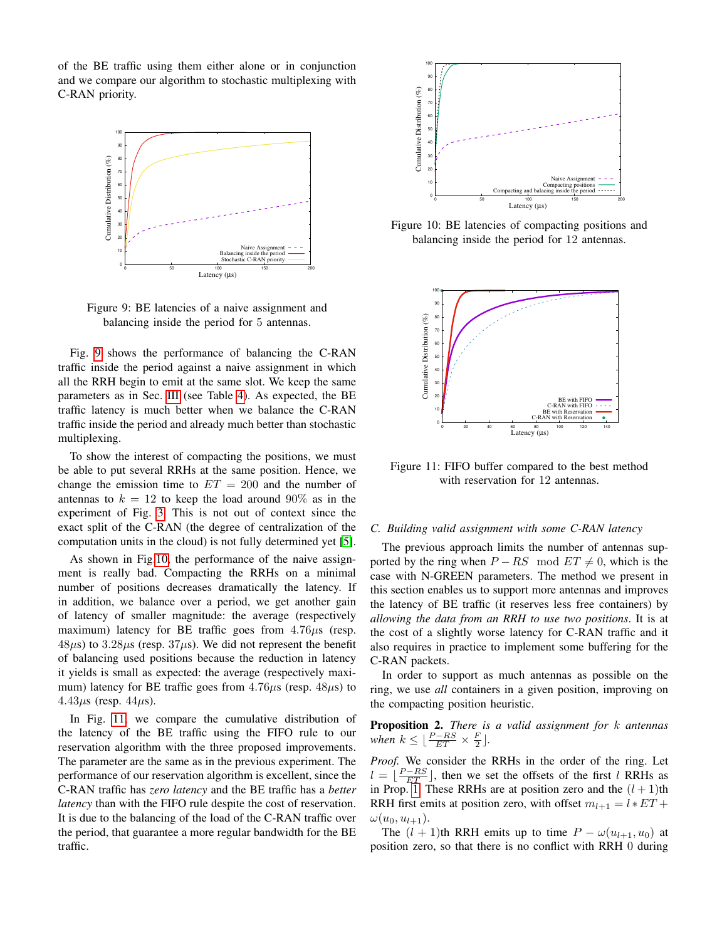of the BE traffic using them either alone or in conjunction and we compare our algorithm to stochastic multiplexing with C-RAN priority.

<span id="page-4-1"></span>

Figure 9: BE latencies of a naive assignment and balancing inside the period for 5 antennas.

Fig. [9](#page-4-1) shows the performance of balancing the C-RAN traffic inside the period against a naive assignment in which all the RRH begin to emit at the same slot. We keep the same parameters as in Sec. [III](#page-1-0) (see Table [4\)](#page-2-1). As expected, the BE traffic latency is much better when we balance the C-RAN traffic inside the period and already much better than stochastic multiplexing.

To show the interest of compacting the positions, we must be able to put several RRHs at the same position. Hence, we change the emission time to  $ET = 200$  and the number of antennas to  $k = 12$  to keep the load around 90% as in the experiment of Fig. [3.](#page-2-2) This is not out of context since the exact split of the C-RAN (the degree of centralization of the computation units in the cloud) is not fully determined yet [\[5\]](#page-5-4).

As shown in Fig[.10,](#page-4-2) the performance of the naive assignment is really bad. Compacting the RRHs on a minimal number of positions decreases dramatically the latency. If in addition, we balance over a period, we get another gain of latency of smaller magnitude: the average (respectively maximum) latency for BE traffic goes from  $4.76\mu s$  (resp.  $48\mu s$ ) to  $3.28\mu s$  (resp.  $37\mu s$ ). We did not represent the benefit of balancing used positions because the reduction in latency it yields is small as expected: the average (respectively maximum) latency for BE traffic goes from  $4.76\mu s$  (resp.  $48\mu s$ ) to  $4.43\mu s$  (resp.  $44\mu s$ ).

In Fig. [11,](#page-4-3) we compare the cumulative distribution of the latency of the BE traffic using the FIFO rule to our reservation algorithm with the three proposed improvements. The parameter are the same as in the previous experiment. The performance of our reservation algorithm is excellent, since the C-RAN traffic has *zero latency* and the BE traffic has a *better latency* than with the FIFO rule despite the cost of reservation. It is due to the balancing of the load of the C-RAN traffic over the period, that guarantee a more regular bandwidth for the BE traffic.

<span id="page-4-2"></span>

Figure 10: BE latencies of compacting positions and balancing inside the period for 12 antennas.

<span id="page-4-3"></span>

Figure 11: FIFO buffer compared to the best method with reservation for 12 antennas.

#### <span id="page-4-0"></span>*C. Building valid assignment with some C-RAN latency*

The previous approach limits the number of antennas supported by the ring when  $P - RS \mod ET \neq 0$ , which is the case with N-GREEN parameters. The method we present in this section enables us to support more antennas and improves the latency of BE traffic (it reserves less free containers) by *allowing the data from an RRH to use two positions*. It is at the cost of a slightly worse latency for C-RAN traffic and it also requires in practice to implement some buffering for the C-RAN packets.

In order to support as much antennas as possible on the ring, we use *all* containers in a given position, improving on the compacting position heuristic.

<span id="page-4-4"></span>Proposition 2. *There is a valid assignment for* k *antennas when*  $k \leq \lfloor \frac{P-RS}{ET} \times \frac{F}{2} \rfloor$ .

*Proof.* We consider the RRHs in the order of the ring. Let  $l = \lfloor \frac{P-RS}{ET} \rfloor$ , then we set the offsets of the first l RRHs as in Prop. [1.](#page-3-0) These RRHs are at position zero and the  $(l + 1)$ th RRH first emits at position zero, with offset  $m_{l+1} = l * ET +$  $\omega(u_0, u_{l+1}).$ 

The  $(l + 1)$ th RRH emits up to time  $P - \omega(u_{l+1}, u_0)$  at position zero, so that there is no conflict with RRH 0 during